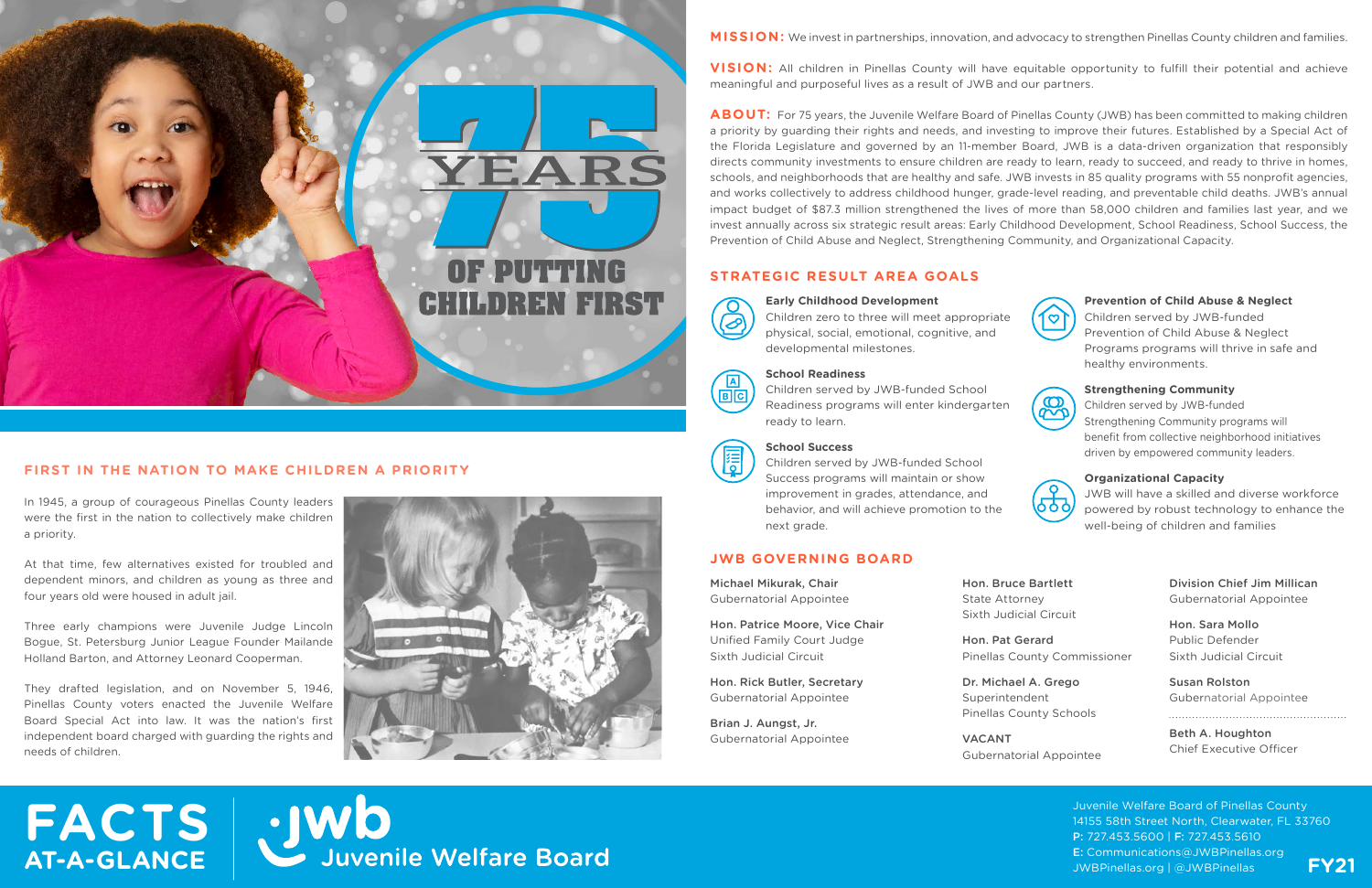# **FACTS**  · IWO<br>Juvenile Welfare Board **AT-A-GLANCE**





## **FIRST IN THE NATION TO MAKE CHILDREN A PRIORITY**

In 1945, a group of courageous Pinellas County leaders were the first in the nation to collectively make children a priority.

At that time, few alternatives existed for troubled and dependent minors, and children as young as three and four years old were housed in adult jail.

**VISION:** All children in Pinellas County will have equitable opportunity to fulfill their potential and achieve meaningful and purposeful lives as a result of JWB and our partners.

Three early champions were Juvenile Judge Lincoln Bogue, St. Petersburg Junior League Founder Mailande Holland Barton, and Attorney Leonard Cooperman.

They drafted legislation, and on November 5, 1946, Pinellas County voters enacted the Juvenile Welfare Board Special Act into law. It was the nation's first independent board charged with guarding the rights and needs of children.



**MISSION:** We invest in partnerships, innovation, and advocacy to strengthen Pinellas County children and families.

**ABOUT:** For 75 years, the Juvenile Welfare Board of Pinellas County (JWB) has been committed to making children a priority by guarding their rights and needs, and investing to improve their futures. Established by a Special Act of the Florida Legislature and governed by an 11-member Board, JWB is a data-driven organization that responsibly directs community investments to ensure children are ready to learn, ready to succeed, and ready to thrive in homes, schools, and neighborhoods that are healthy and safe. JWB invests in 85 quality programs with 55 nonprofit agencies, and works collectively to address childhood hunger, grade-level reading, and preventable child deaths. JWB's annual impact budget of \$87.3 million strengthened the lives of more than 58,000 children and families last year, and we invest annually across six strategic result areas: Early Childhood Development, School Readiness, School Success, the Prevention of Child Abuse and Neglect, Strengthening Community, and Organizational Capacity.

> Juvenile Welfare Board of Pinellas County 14155 58th Street North, Clearwater, FL 33760 P: 727.453.5600 | F: 727.453.5610 E: Communications@JWBPinellas.org JWBPinellas.org | @JWBPinellas **FY21**

## **STRATEGIC RESULT AREA GOALS**

#### **JWB GOVERNING BOARD**

Michael Mikurak, Chair Gubernatorial Appointee

Hon. Patrice Moore, Vice Chair Unified Family Court Judge Sixth Judicial Circuit

Hon. Rick Butler, Secretary Gubernatorial Appointee

Brian J. Aungst, Jr. Gubernatorial Appointee State Attorney

Hon. Bruce Bartlett Sixth Judicial Circuit

Hon. Pat Gerard Pinellas County Commissioner

Dr. Michael A. Grego Superintendent Pinellas County Schools

VACANT Gubernatorial Appointee Division Chief Jim Millican Gubernatorial Appointee

Hon. Sara Mollo Public Defender Sixth Judicial Circuit

Susan Rolston Gubernatorial Appointee

Beth A. Houghton Chief Executive Officer



Children zero to three will meet appropriate physical, social, emotional, cognitive, and developmental milestones.



#### **School Readiness**

Children served by JWB-funded School Readiness programs will enter kindergarten ready to learn.



#### **School Success**

Children served by JWB-funded School Success programs will maintain or show improvement in grades, attendance, and behavior, and will achieve promotion to the next grade.

#### **Prevention of Child Abuse & Neglect**

Children served by JWB-funded Prevention of Child Abuse & Neglect Programs programs will thrive in safe and healthy environments.



#### **Strengthening Community**

Children served by JWB-funded Strengthening Community programs will benefit from collective neighborhood initiatives driven by empowered community leaders.



#### **Organizational Capacity**

JWB will have a skilled and diverse workforce powered by robust technology to enhance the well-being of children and families